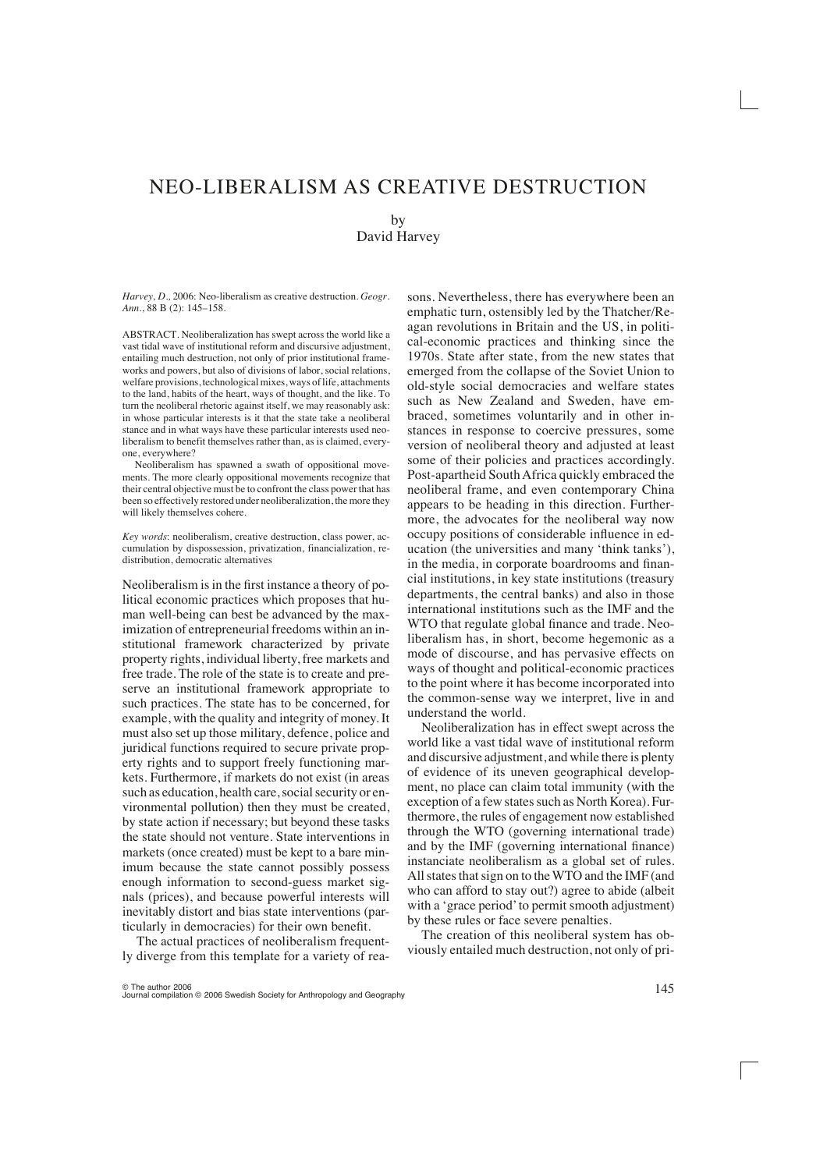# NEO-LIBERALISM AS CREATIVE DESTRUCTION

by David Harvey

*Harvey, D.,* 2006: Neo-liberalism as creative destruction. *Geogr. Ann.*, 88 B (2): 145–158.

ABSTRACT. Neoliberalization has swept across the world like a vast tidal wave of institutional reform and discursive adjustment, entailing much destruction, not only of prior institutional frameworks and powers, but also of divisions of labor, social relations, welfare provisions, technological mixes, ways of life, attachments to the land, habits of the heart, ways of thought, and the like. To turn the neoliberal rhetoric against itself, we may reasonably ask: in whose particular interests is it that the state take a neoliberal stance and in what ways have these particular interests used neoliberalism to benefit themselves rather than, as is claimed, everyone, everywhere?

Neoliberalism has spawned a swath of oppositional movements. The more clearly oppositional movements recognize that their central objective must be to confront the class power that has been so effectively restored under neoliberalization, the more they will likely themselves cohere.

*Key words*: neoliberalism, creative destruction, class power, accumulation by dispossession, privatization, financialization, redistribution, democratic alternatives

Neoliberalism is in the first instance a theory of political economic practices which proposes that human well-being can best be advanced by the maximization of entrepreneurial freedoms within an institutional framework characterized by private property rights, individual liberty, free markets and free trade. The role of the state is to create and preserve an institutional framework appropriate to such practices. The state has to be concerned, for example, with the quality and integrity of money. It must also set up those military, defence, police and juridical functions required to secure private property rights and to support freely functioning markets. Furthermore, if markets do not exist (in areas such as education, health care, social security or environmental pollution) then they must be created, by state action if necessary; but beyond these tasks the state should not venture. State interventions in markets (once created) must be kept to a bare minimum because the state cannot possibly possess enough information to second-guess market signals (prices), and because powerful interests will inevitably distort and bias state interventions (particularly in democracies) for their own benefit.

The actual practices of neoliberalism frequently diverge from this template for a variety of rea-

sons. Nevertheless, there has everywhere been an emphatic turn, ostensibly led by the Thatcher/Reagan revolutions in Britain and the US, in political-economic practices and thinking since the 1970s. State after state, from the new states that emerged from the collapse of the Soviet Union to old-style social democracies and welfare states such as New Zealand and Sweden, have embraced, sometimes voluntarily and in other instances in response to coercive pressures, some version of neoliberal theory and adjusted at least some of their policies and practices accordingly. Post-apartheid South Africa quickly embraced the neoliberal frame, and even contemporary China appears to be heading in this direction. Furthermore, the advocates for the neoliberal way now occupy positions of considerable influence in education (the universities and many 'think tanks'), in the media, in corporate boardrooms and financial institutions, in key state institutions (treasury departments, the central banks) and also in those international institutions such as the IMF and the WTO that regulate global finance and trade. Neoliberalism has, in short, become hegemonic as a mode of discourse, and has pervasive effects on ways of thought and political-economic practices to the point where it has become incorporated into the common-sense way we interpret, live in and understand the world.

Neoliberalization has in effect swept across the world like a vast tidal wave of institutional reform and discursive adjustment, and while there is plenty of evidence of its uneven geographical development, no place can claim total immunity (with the exception of a few states such as North Korea). Furthermore, the rules of engagement now established through the WTO (governing international trade) and by the IMF (governing international finance) instanciate neoliberalism as a global set of rules. All states that sign on to the WTO and the IMF (and who can afford to stay out?) agree to abide (albeit with a 'grace period' to permit smooth adjustment) by these rules or face severe penalties.

The creation of this neoliberal system has obviously entailed much destruction, not only of pri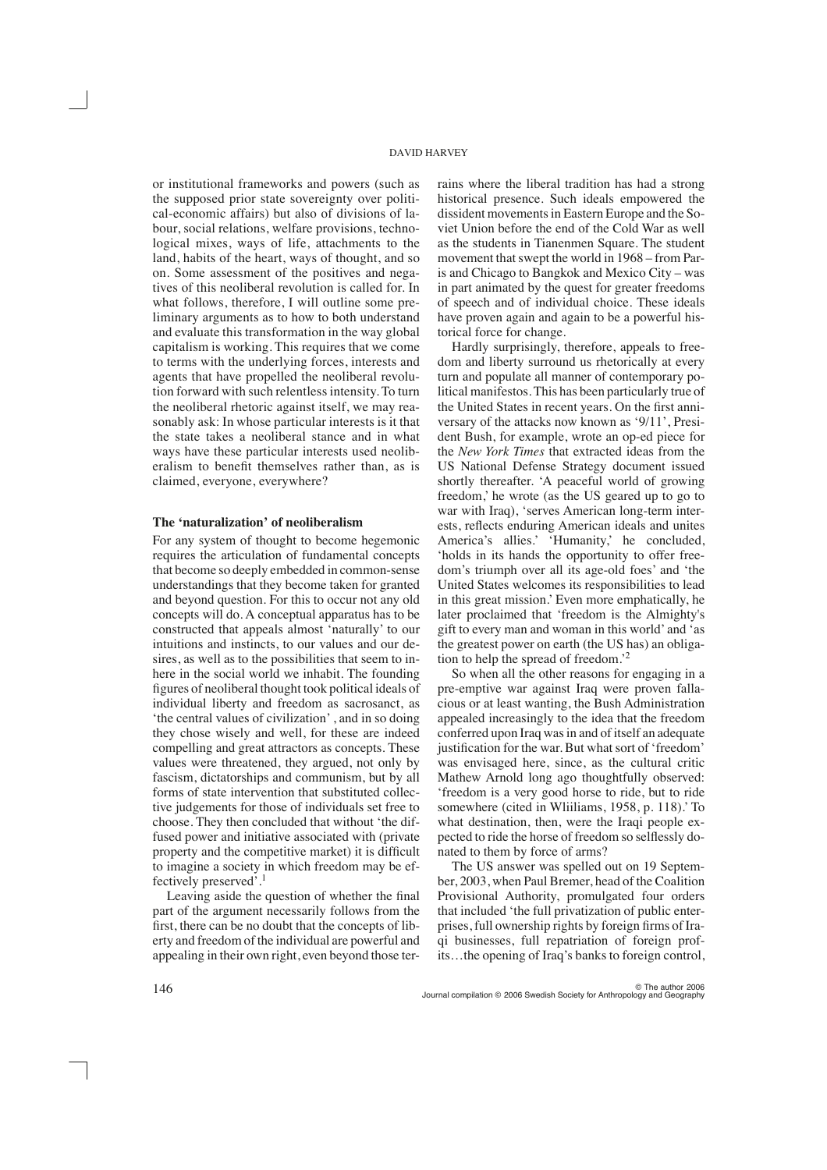or institutional frameworks and powers (such as the supposed prior state sovereignty over political-economic affairs) but also of divisions of labour, social relations, welfare provisions, technological mixes, ways of life, attachments to the land, habits of the heart, ways of thought, and so on. Some assessment of the positives and negatives of this neoliberal revolution is called for. In what follows, therefore, I will outline some preliminary arguments as to how to both understand and evaluate this transformation in the way global capitalism is working. This requires that we come to terms with the underlying forces, interests and agents that have propelled the neoliberal revolution forward with such relentless intensity. To turn the neoliberal rhetoric against itself, we may reasonably ask: In whose particular interests is it that the state takes a neoliberal stance and in what ways have these particular interests used neoliberalism to benefit themselves rather than, as is claimed, everyone, everywhere?

# **The 'naturalization' of neoliberalism**

For any system of thought to become hegemonic requires the articulation of fundamental concepts that become so deeply embedded in common-sense understandings that they become taken for granted and beyond question. For this to occur not any old concepts will do. A conceptual apparatus has to be constructed that appeals almost 'naturally' to our intuitions and instincts, to our values and our desires, as well as to the possibilities that seem to inhere in the social world we inhabit. The founding figures of neoliberal thought took political ideals of individual liberty and freedom as sacrosanct, as 'the central values of civilization' , and in so doing they chose wisely and well, for these are indeed compelling and great attractors as concepts. These values were threatened, they argued, not only by fascism, dictatorships and communism, but by all forms of state intervention that substituted collective judgements for those of individuals set free to choose. They then concluded that without 'the diffused power and initiative associated with (private property and the competitive market) it is difficult to imagine a society in which freedom may be effectively preserved'.1

Leaving aside the question of whether the final part of the argument necessarily follows from the first, there can be no doubt that the concepts of liberty and freedom of the individual are powerful and appealing in their own right, even beyond those terrains where the liberal tradition has had a strong historical presence. Such ideals empowered the dissident movements in Eastern Europe and the Soviet Union before the end of the Cold War as well as the students in Tianenmen Square. The student movement that swept the world in 1968 – from Paris and Chicago to Bangkok and Mexico City – was in part animated by the quest for greater freedoms of speech and of individual choice. These ideals have proven again and again to be a powerful historical force for change.

Hardly surprisingly, therefore, appeals to freedom and liberty surround us rhetorically at every turn and populate all manner of contemporary political manifestos. This has been particularly true of the United States in recent years. On the first anniversary of the attacks now known as '9/11', President Bush, for example, wrote an op-ed piece for the *New York Times* that extracted ideas from the US National Defense Strategy document issued shortly thereafter. 'A peaceful world of growing freedom,' he wrote (as the US geared up to go to war with Iraq), 'serves American long-term interests, reflects enduring American ideals and unites America's allies.' 'Humanity,' he concluded, 'holds in its hands the opportunity to offer freedom's triumph over all its age-old foes' and 'the United States welcomes its responsibilities to lead in this great mission.' Even more emphatically, he later proclaimed that 'freedom is the Almighty's gift to every man and woman in this world' and 'as the greatest power on earth (the US has) an obligation to help the spread of freedom.'2

So when all the other reasons for engaging in a pre-emptive war against Iraq were proven fallacious or at least wanting, the Bush Administration appealed increasingly to the idea that the freedom conferred upon Iraq was in and of itself an adequate justification for the war. But what sort of 'freedom' was envisaged here, since, as the cultural critic Mathew Arnold long ago thoughtfully observed: 'freedom is a very good horse to ride, but to ride somewhere (cited in Wliiliams, 1958, p. 118).' To what destination, then, were the Iraqi people expected to ride the horse of freedom so selflessly donated to them by force of arms?

The US answer was spelled out on 19 September, 2003, when Paul Bremer, head of the Coalition Provisional Authority, promulgated four orders that included 'the full privatization of public enterprises, full ownership rights by foreign firms of Iraqi businesses, full repatriation of foreign profits…the opening of Iraq's banks to foreign control,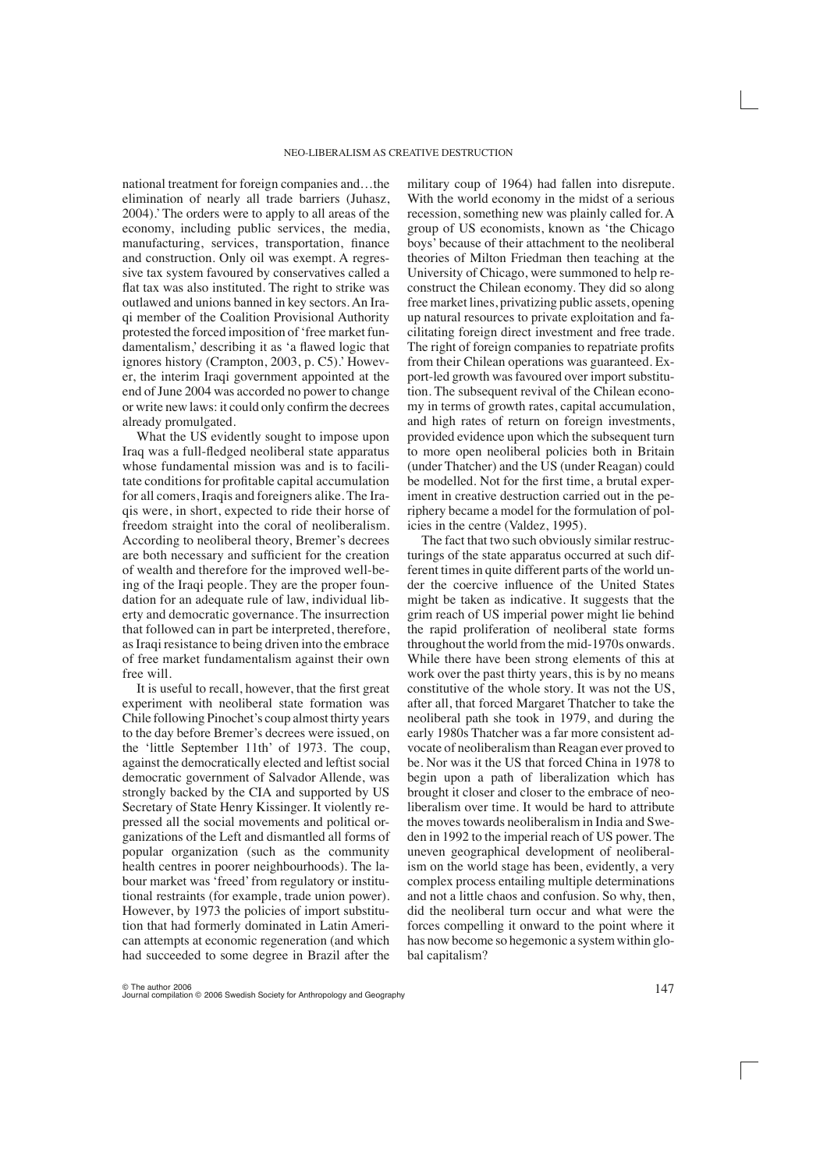national treatment for foreign companies and…the elimination of nearly all trade barriers (Juhasz, 2004).' The orders were to apply to all areas of the economy, including public services, the media, manufacturing, services, transportation, finance and construction. Only oil was exempt. A regressive tax system favoured by conservatives called a flat tax was also instituted. The right to strike was outlawed and unions banned in key sectors. An Iraqi member of the Coalition Provisional Authority protested the forced imposition of 'free market fundamentalism,' describing it as 'a flawed logic that ignores history (Crampton, 2003, p. C5).' However, the interim Iraqi government appointed at the end of June 2004 was accorded no power to change or write new laws: it could only confirm the decrees already promulgated.

What the US evidently sought to impose upon Iraq was a full-fledged neoliberal state apparatus whose fundamental mission was and is to facilitate conditions for profitable capital accumulation for all comers, Iraqis and foreigners alike. The Iraqis were, in short, expected to ride their horse of freedom straight into the coral of neoliberalism. According to neoliberal theory, Bremer's decrees are both necessary and sufficient for the creation of wealth and therefore for the improved well-being of the Iraqi people. They are the proper foundation for an adequate rule of law, individual liberty and democratic governance. The insurrection that followed can in part be interpreted, therefore, as Iraqi resistance to being driven into the embrace of free market fundamentalism against their own free will.

It is useful to recall, however, that the first great experiment with neoliberal state formation was Chile following Pinochet's coup almost thirty years to the day before Bremer's decrees were issued, on the 'little September 11th' of 1973. The coup, against the democratically elected and leftist social democratic government of Salvador Allende, was strongly backed by the CIA and supported by US Secretary of State Henry Kissinger. It violently repressed all the social movements and political organizations of the Left and dismantled all forms of popular organization (such as the community health centres in poorer neighbourhoods). The labour market was 'freed' from regulatory or institutional restraints (for example, trade union power). However, by 1973 the policies of import substitution that had formerly dominated in Latin American attempts at economic regeneration (and which had succeeded to some degree in Brazil after the

military coup of 1964) had fallen into disrepute. With the world economy in the midst of a serious recession, something new was plainly called for. A group of US economists, known as 'the Chicago boys' because of their attachment to the neoliberal theories of Milton Friedman then teaching at the University of Chicago, were summoned to help reconstruct the Chilean economy. They did so along free market lines, privatizing public assets, opening up natural resources to private exploitation and facilitating foreign direct investment and free trade. The right of foreign companies to repatriate profits from their Chilean operations was guaranteed. Export-led growth was favoured over import substitution. The subsequent revival of the Chilean economy in terms of growth rates, capital accumulation, and high rates of return on foreign investments, provided evidence upon which the subsequent turn to more open neoliberal policies both in Britain (under Thatcher) and the US (under Reagan) could be modelled. Not for the first time, a brutal experiment in creative destruction carried out in the periphery became a model for the formulation of policies in the centre (Valdez, 1995).

The fact that two such obviously similar restructurings of the state apparatus occurred at such different times in quite different parts of the world under the coercive influence of the United States might be taken as indicative. It suggests that the grim reach of US imperial power might lie behind the rapid proliferation of neoliberal state forms throughout the world from the mid-1970s onwards. While there have been strong elements of this at work over the past thirty years, this is by no means constitutive of the whole story. It was not the US, after all, that forced Margaret Thatcher to take the neoliberal path she took in 1979, and during the early 1980s Thatcher was a far more consistent advocate of neoliberalism than Reagan ever proved to be. Nor was it the US that forced China in 1978 to begin upon a path of liberalization which has brought it closer and closer to the embrace of neoliberalism over time. It would be hard to attribute the moves towards neoliberalism in India and Sweden in 1992 to the imperial reach of US power. The uneven geographical development of neoliberalism on the world stage has been, evidently, a very complex process entailing multiple determinations and not a little chaos and confusion. So why, then, did the neoliberal turn occur and what were the forces compelling it onward to the point where it has now become so hegemonic a system within global capitalism?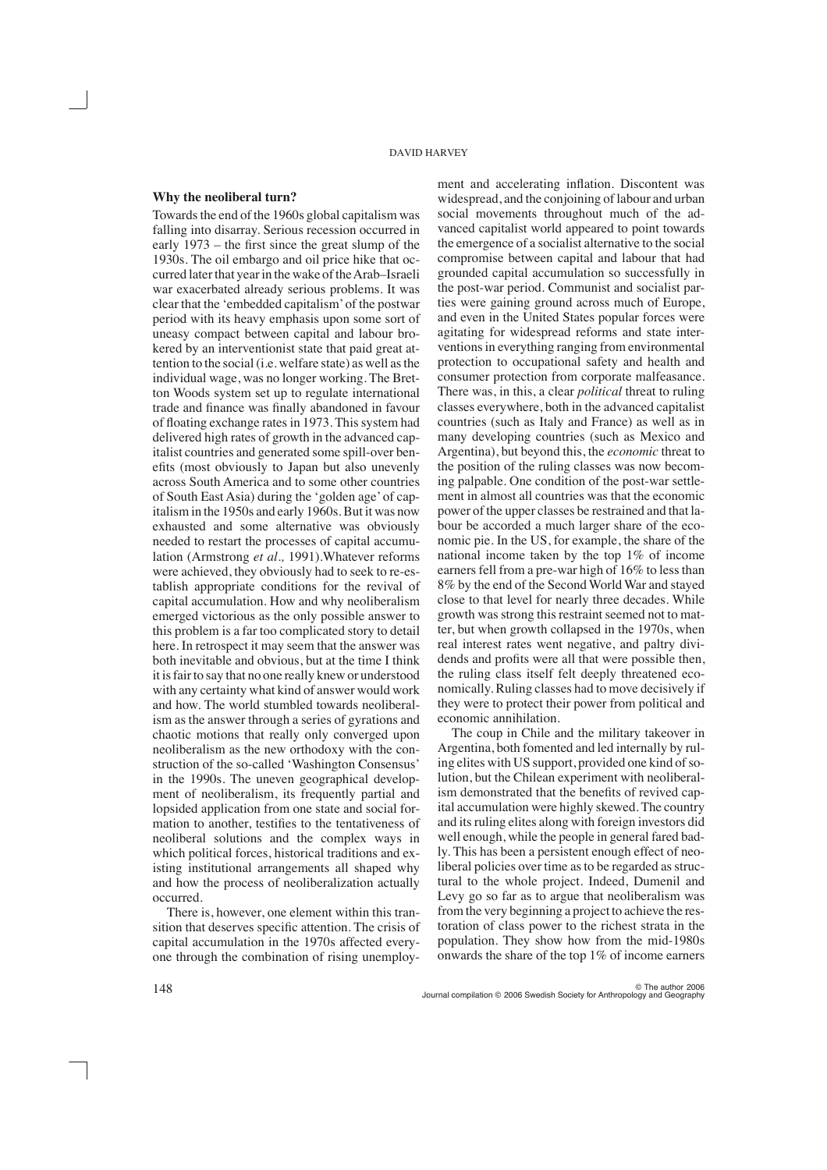#### **Why the neoliberal turn?**

Towards the end of the 1960s global capitalism was falling into disarray. Serious recession occurred in early 1973 – the first since the great slump of the 1930s. The oil embargo and oil price hike that occurred later that year in the wake of the Arab–Israeli war exacerbated already serious problems. It was clear that the 'embedded capitalism' of the postwar period with its heavy emphasis upon some sort of uneasy compact between capital and labour brokered by an interventionist state that paid great attention to the social (i.e. welfare state) as well as the individual wage, was no longer working. The Bretton Woods system set up to regulate international trade and finance was finally abandoned in favour of floating exchange rates in 1973. This system had delivered high rates of growth in the advanced capitalist countries and generated some spill-over benefits (most obviously to Japan but also unevenly across South America and to some other countries of South East Asia) during the 'golden age' of capitalism in the 1950s and early 1960s. But it was now exhausted and some alternative was obviously needed to restart the processes of capital accumulation (Armstrong *et al.,* 1991).Whatever reforms were achieved, they obviously had to seek to re-establish appropriate conditions for the revival of capital accumulation. How and why neoliberalism emerged victorious as the only possible answer to this problem is a far too complicated story to detail here. In retrospect it may seem that the answer was both inevitable and obvious, but at the time I think it is fair to say that no one really knew or understood with any certainty what kind of answer would work and how. The world stumbled towards neoliberalism as the answer through a series of gyrations and chaotic motions that really only converged upon neoliberalism as the new orthodoxy with the construction of the so-called 'Washington Consensus' in the 1990s. The uneven geographical development of neoliberalism, its frequently partial and lopsided application from one state and social formation to another, testifies to the tentativeness of neoliberal solutions and the complex ways in which political forces, historical traditions and existing institutional arrangements all shaped why and how the process of neoliberalization actually occurred.

There is, however, one element within this transition that deserves specific attention. The crisis of capital accumulation in the 1970s affected everyone through the combination of rising unemployment and accelerating inflation. Discontent was widespread, and the conjoining of labour and urban social movements throughout much of the advanced capitalist world appeared to point towards the emergence of a socialist alternative to the social compromise between capital and labour that had grounded capital accumulation so successfully in the post-war period. Communist and socialist parties were gaining ground across much of Europe, and even in the United States popular forces were agitating for widespread reforms and state interventions in everything ranging from environmental protection to occupational safety and health and consumer protection from corporate malfeasance. There was, in this, a clear *political* threat to ruling classes everywhere, both in the advanced capitalist countries (such as Italy and France) as well as in many developing countries (such as Mexico and Argentina), but beyond this, the *economic* threat to the position of the ruling classes was now becoming palpable. One condition of the post-war settlement in almost all countries was that the economic power of the upper classes be restrained and that labour be accorded a much larger share of the economic pie. In the US, for example, the share of the national income taken by the top 1% of income earners fell from a pre-war high of 16% to less than 8% by the end of the Second World War and stayed close to that level for nearly three decades. While growth was strong this restraint seemed not to matter, but when growth collapsed in the 1970s, when real interest rates went negative, and paltry dividends and profits were all that were possible then, the ruling class itself felt deeply threatened economically. Ruling classes had to move decisively if they were to protect their power from political and economic annihilation.

The coup in Chile and the military takeover in Argentina, both fomented and led internally by ruling elites with US support, provided one kind of solution, but the Chilean experiment with neoliberalism demonstrated that the benefits of revived capital accumulation were highly skewed. The country and its ruling elites along with foreign investors did well enough, while the people in general fared badly. This has been a persistent enough effect of neoliberal policies over time as to be regarded as structural to the whole project. Indeed, Dumenil and Levy go so far as to argue that neoliberalism was from the very beginning a project to achieve the restoration of class power to the richest strata in the population. They show how from the mid-1980s onwards the share of the top 1% of income earners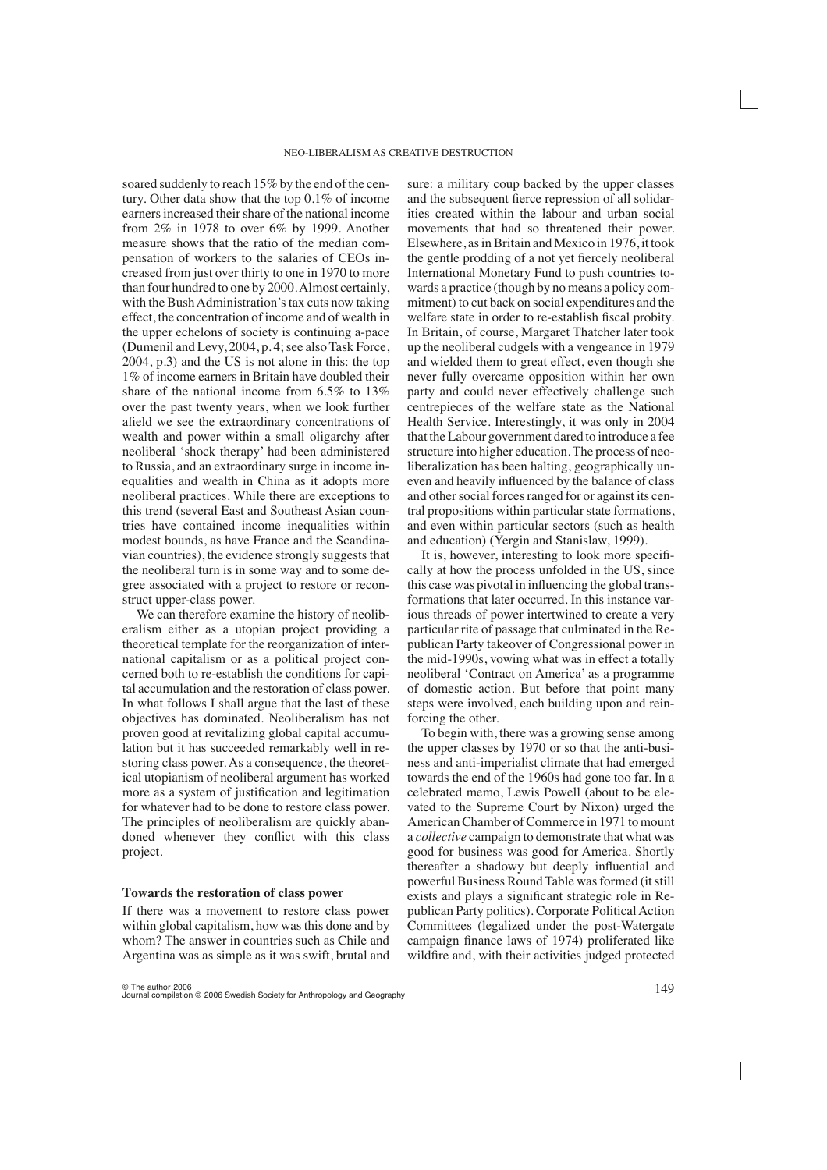soared suddenly to reach 15% by the end of the century. Other data show that the top 0.1% of income earners increased their share of the national income from 2% in 1978 to over 6% by 1999. Another measure shows that the ratio of the median compensation of workers to the salaries of CEOs increased from just over thirty to one in 1970 to more than four hundred to one by 2000. Almost certainly, with the Bush Administration's tax cuts now taking effect, the concentration of income and of wealth in the upper echelons of society is continuing a-pace (Dumenil and Levy, 2004, p. 4; see also Task Force, 2004, p.3) and the US is not alone in this: the top 1% of income earners in Britain have doubled their share of the national income from 6.5% to 13% over the past twenty years, when we look further afield we see the extraordinary concentrations of wealth and power within a small oligarchy after neoliberal 'shock therapy' had been administered to Russia, and an extraordinary surge in income inequalities and wealth in China as it adopts more neoliberal practices. While there are exceptions to this trend (several East and Southeast Asian countries have contained income inequalities within modest bounds, as have France and the Scandinavian countries), the evidence strongly suggests that the neoliberal turn is in some way and to some degree associated with a project to restore or reconstruct upper-class power.

We can therefore examine the history of neoliberalism either as a utopian project providing a theoretical template for the reorganization of international capitalism or as a political project concerned both to re-establish the conditions for capital accumulation and the restoration of class power. In what follows I shall argue that the last of these objectives has dominated. Neoliberalism has not proven good at revitalizing global capital accumulation but it has succeeded remarkably well in restoring class power. As a consequence, the theoretical utopianism of neoliberal argument has worked more as a system of justification and legitimation for whatever had to be done to restore class power. The principles of neoliberalism are quickly abandoned whenever they conflict with this class project.

## **Towards the restoration of class power**

If there was a movement to restore class power within global capitalism, how was this done and by whom? The answer in countries such as Chile and Argentina was as simple as it was swift, brutal and sure: a military coup backed by the upper classes and the subsequent fierce repression of all solidarities created within the labour and urban social movements that had so threatened their power. Elsewhere, as in Britain and Mexico in 1976, it took the gentle prodding of a not yet fiercely neoliberal International Monetary Fund to push countries towards a practice (though by no means a policy commitment) to cut back on social expenditures and the welfare state in order to re-establish fiscal probity. In Britain, of course, Margaret Thatcher later took up the neoliberal cudgels with a vengeance in 1979 and wielded them to great effect, even though she never fully overcame opposition within her own party and could never effectively challenge such centrepieces of the welfare state as the National Health Service. Interestingly, it was only in 2004 that the Labour government dared to introduce a fee structure into higher education. The process of neoliberalization has been halting, geographically uneven and heavily influenced by the balance of class and other social forces ranged for or against its central propositions within particular state formations, and even within particular sectors (such as health and education) (Yergin and Stanislaw, 1999).

It is, however, interesting to look more specifically at how the process unfolded in the US, since this case was pivotal in influencing the global transformations that later occurred. In this instance various threads of power intertwined to create a very particular rite of passage that culminated in the Republican Party takeover of Congressional power in the mid-1990s, vowing what was in effect a totally neoliberal 'Contract on America' as a programme of domestic action. But before that point many steps were involved, each building upon and reinforcing the other.

To begin with, there was a growing sense among the upper classes by 1970 or so that the anti-business and anti-imperialist climate that had emerged towards the end of the 1960s had gone too far. In a celebrated memo, Lewis Powell (about to be elevated to the Supreme Court by Nixon) urged the American Chamber of Commerce in 1971 to mount a *collective* campaign to demonstrate that what was good for business was good for America. Shortly thereafter a shadowy but deeply influential and powerful Business Round Table was formed (it still exists and plays a significant strategic role in Republican Party politics). Corporate Political Action Committees (legalized under the post-Watergate campaign finance laws of 1974) proliferated like wildfire and, with their activities judged protected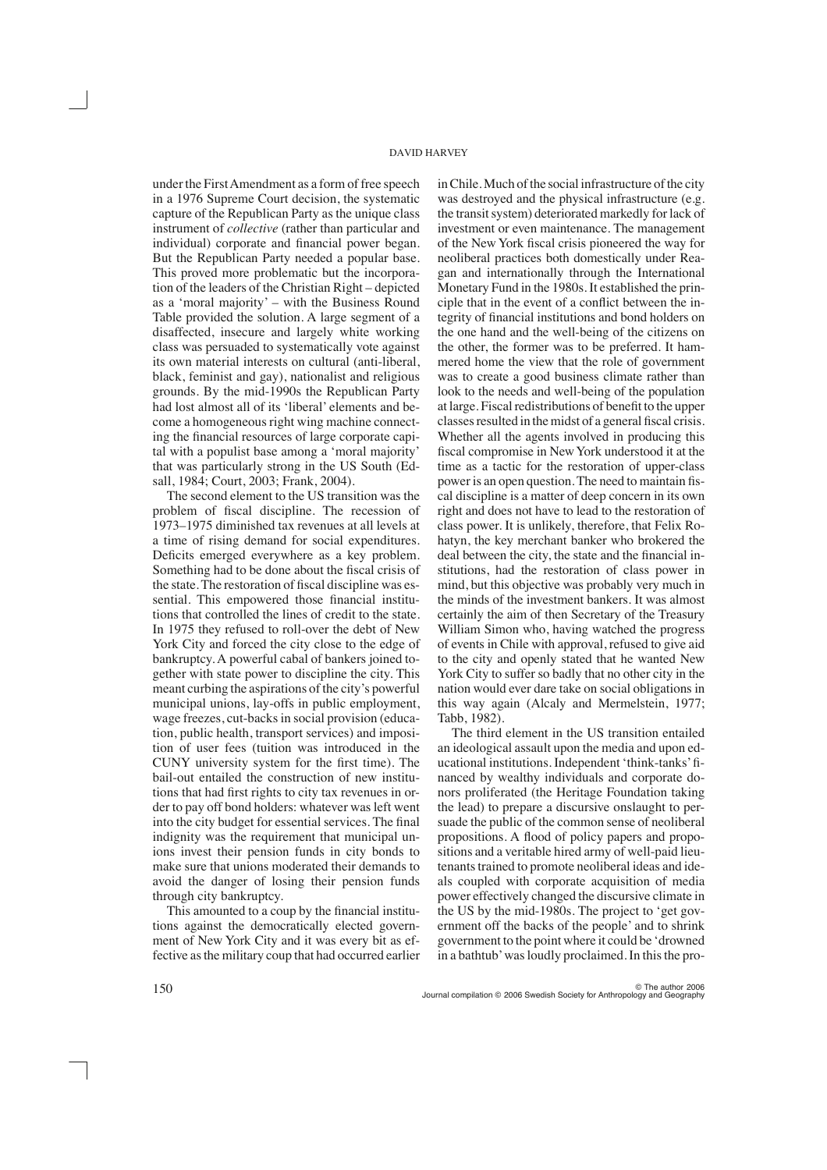under the First Amendment as a form of free speech in a 1976 Supreme Court decision, the systematic capture of the Republican Party as the unique class instrument of *collective* (rather than particular and individual) corporate and financial power began. But the Republican Party needed a popular base. This proved more problematic but the incorporation of the leaders of the Christian Right – depicted as a 'moral majority' – with the Business Round Table provided the solution. A large segment of a disaffected, insecure and largely white working class was persuaded to systematically vote against its own material interests on cultural (anti-liberal, black, feminist and gay), nationalist and religious grounds. By the mid-1990s the Republican Party had lost almost all of its 'liberal' elements and become a homogeneous right wing machine connecting the financial resources of large corporate capital with a populist base among a 'moral majority' that was particularly strong in the US South (Edsall, 1984; Court, 2003; Frank, 2004).

The second element to the US transition was the problem of fiscal discipline. The recession of 1973–1975 diminished tax revenues at all levels at a time of rising demand for social expenditures. Deficits emerged everywhere as a key problem. Something had to be done about the fiscal crisis of the state. The restoration of fiscal discipline was essential. This empowered those financial institutions that controlled the lines of credit to the state. In 1975 they refused to roll-over the debt of New York City and forced the city close to the edge of bankruptcy. A powerful cabal of bankers joined together with state power to discipline the city. This meant curbing the aspirations of the city's powerful municipal unions, lay-offs in public employment, wage freezes, cut-backs in social provision (education, public health, transport services) and imposition of user fees (tuition was introduced in the CUNY university system for the first time). The bail-out entailed the construction of new institutions that had first rights to city tax revenues in order to pay off bond holders: whatever was left went into the city budget for essential services. The final indignity was the requirement that municipal unions invest their pension funds in city bonds to make sure that unions moderated their demands to avoid the danger of losing their pension funds through city bankruptcy.

This amounted to a coup by the financial institutions against the democratically elected government of New York City and it was every bit as effective as the military coup that had occurred earlier in Chile. Much of the social infrastructure of the city was destroyed and the physical infrastructure (e.g. the transit system) deteriorated markedly for lack of investment or even maintenance. The management of the New York fiscal crisis pioneered the way for neoliberal practices both domestically under Reagan and internationally through the International Monetary Fund in the 1980s. It established the principle that in the event of a conflict between the integrity of financial institutions and bond holders on the one hand and the well-being of the citizens on the other, the former was to be preferred. It hammered home the view that the role of government was to create a good business climate rather than look to the needs and well-being of the population at large. Fiscal redistributions of benefit to the upper classes resulted in the midst of a general fiscal crisis. Whether all the agents involved in producing this fiscal compromise in New York understood it at the time as a tactic for the restoration of upper-class power is an open question. The need to maintain fiscal discipline is a matter of deep concern in its own right and does not have to lead to the restoration of class power. It is unlikely, therefore, that Felix Rohatyn, the key merchant banker who brokered the deal between the city, the state and the financial institutions, had the restoration of class power in mind, but this objective was probably very much in the minds of the investment bankers. It was almost certainly the aim of then Secretary of the Treasury William Simon who, having watched the progress of events in Chile with approval, refused to give aid to the city and openly stated that he wanted New York City to suffer so badly that no other city in the nation would ever dare take on social obligations in this way again (Alcaly and Mermelstein, 1977; Tabb, 1982).

The third element in the US transition entailed an ideological assault upon the media and upon educational institutions. Independent 'think-tanks' financed by wealthy individuals and corporate donors proliferated (the Heritage Foundation taking the lead) to prepare a discursive onslaught to persuade the public of the common sense of neoliberal propositions. A flood of policy papers and propositions and a veritable hired army of well-paid lieutenants trained to promote neoliberal ideas and ideals coupled with corporate acquisition of media power effectively changed the discursive climate in the US by the mid-1980s. The project to 'get government off the backs of the people' and to shrink government to the point where it could be 'drowned in a bathtub' was loudly proclaimed. In this the pro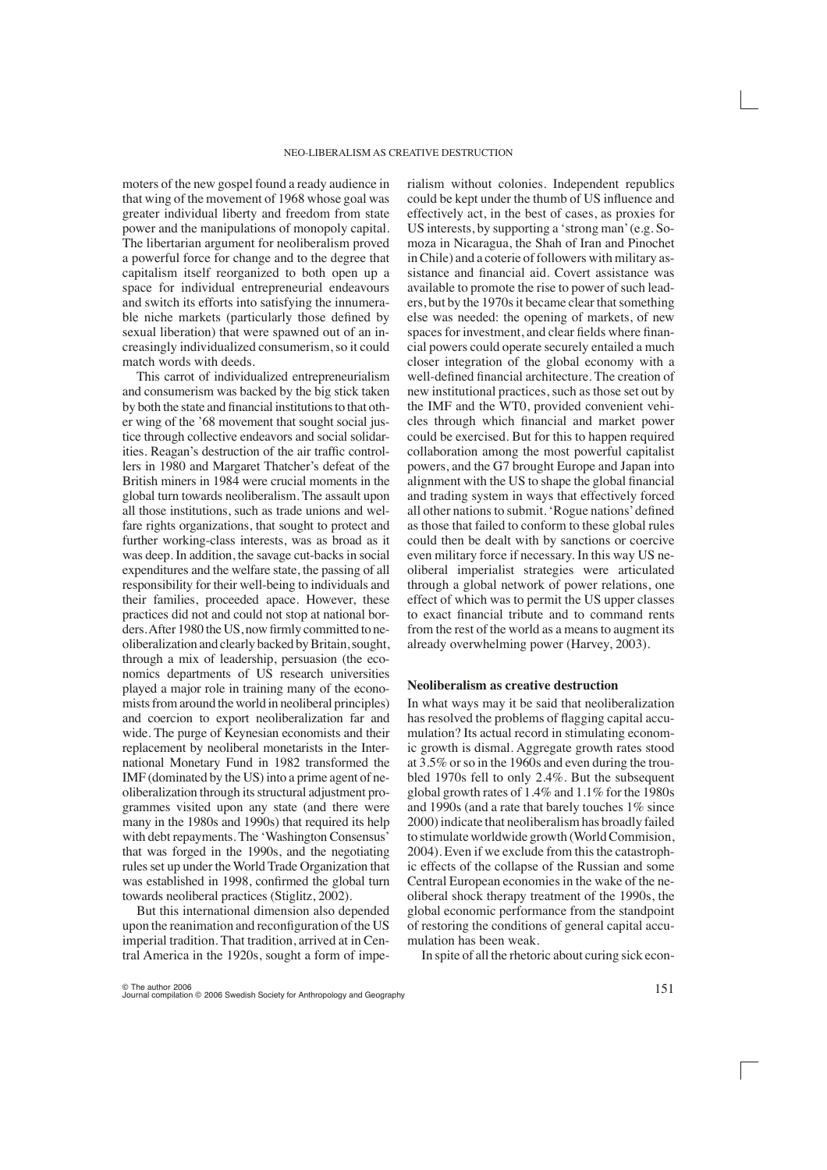moters of the new gospel found a ready audience in that wing of the movement of 1968 whose goal was greater individual liberty and freedom from state power and the manipulations of monopoly capital. The libertarian argument for neoliberalism proved a powerful force for change and to the degree that capitalism itself reorganized to both open up a space for individual entrepreneurial endeavours and switch its efforts into satisfying the innumerable niche markets (particularly those defined by sexual liberation) that were spawned out of an increasingly individualized consumerism, so it could match words with deeds.

This carrot of individualized entrepreneurialism and consumerism was backed by the big stick taken by both the state and financial institutions to that other wing of the '68 movement that sought social justice through collective endeavors and social solidarities. Reagan's destruction of the air traffic controllers in 1980 and Margaret Thatcher's defeat of the British miners in 1984 were crucial moments in the global turn towards neoliberalism. The assault upon all those institutions, such as trade unions and welfare rights organizations, that sought to protect and further working-class interests, was as broad as it was deep. In addition, the savage cut-backs in social expenditures and the welfare state, the passing of all responsibility for their well-being to individuals and their families, proceeded apace. However, these practices did not and could not stop at national borders. After 1980 the US, now firmly committed to neoliberalization and clearly backed by Britain, sought, through a mix of leadership, persuasion (the economics departments of US research universities played a major role in training many of the economists from around the world in neoliberal principles) and coercion to export neoliberalization far and wide. The purge of Keynesian economists and their replacement by neoliberal monetarists in the International Monetary Fund in 1982 transformed the IMF (dominated by the US) into a prime agent of neoliberalization through its structural adjustment programmes visited upon any state (and there were many in the 1980s and 1990s) that required its help with debt repayments. The 'Washington Consensus' that was forged in the 1990s, and the negotiating rules set up under the World Trade Organization that was established in 1998, confirmed the global turn towards neoliberal practices (Stiglitz, 2002).

But this international dimension also depended upon the reanimation and reconfiguration of the US imperial tradition. That tradition, arrived at in Central America in the 1920s, sought a form of imperialism without colonies. Independent republics could be kept under the thumb of US influence and effectively act, in the best of cases, as proxies for US interests, by supporting a 'strong man' (e.g. Somoza in Nicaragua, the Shah of Iran and Pinochet in Chile) and a coterie of followers with military assistance and financial aid. Covert assistance was available to promote the rise to power of such leaders, but by the 1970s it became clear that something else was needed: the opening of markets, of new spaces for investment, and clear fields where financial powers could operate securely entailed a much closer integration of the global economy with a well-defined financial architecture. The creation of new institutional practices, such as those set out by the IMF and the WT0, provided convenient vehicles through which financial and market power could be exercised. But for this to happen required collaboration among the most powerful capitalist powers, and the G7 brought Europe and Japan into alignment with the US to shape the global financial and trading system in ways that effectively forced all other nations to submit. 'Rogue nations' defined as those that failed to conform to these global rules could then be dealt with by sanctions or coercive even military force if necessary. In this way US neoliberal imperialist strategies were articulated through a global network of power relations, one effect of which was to permit the US upper classes to exact financial tribute and to command rents from the rest of the world as a means to augment its already overwhelming power (Harvey, 2003).

### **Neoliberalism as creative destruction**

In what ways may it be said that neoliberalization has resolved the problems of flagging capital accumulation? Its actual record in stimulating economic growth is dismal. Aggregate growth rates stood at 3.5% or so in the 1960s and even during the troubled 1970s fell to only 2.4%. But the subsequent global growth rates of 1.4% and 1.1% for the 1980s and 1990s (and a rate that barely touches 1% since 2000) indicate that neoliberalism has broadly failed to stimulate worldwide growth (World Commision, 2004). Even if we exclude from this the catastrophic effects of the collapse of the Russian and some Central European economies in the wake of the neoliberal shock therapy treatment of the 1990s, the global economic performance from the standpoint of restoring the conditions of general capital accumulation has been weak.

In spite of all the rhetoric about curing sick econ-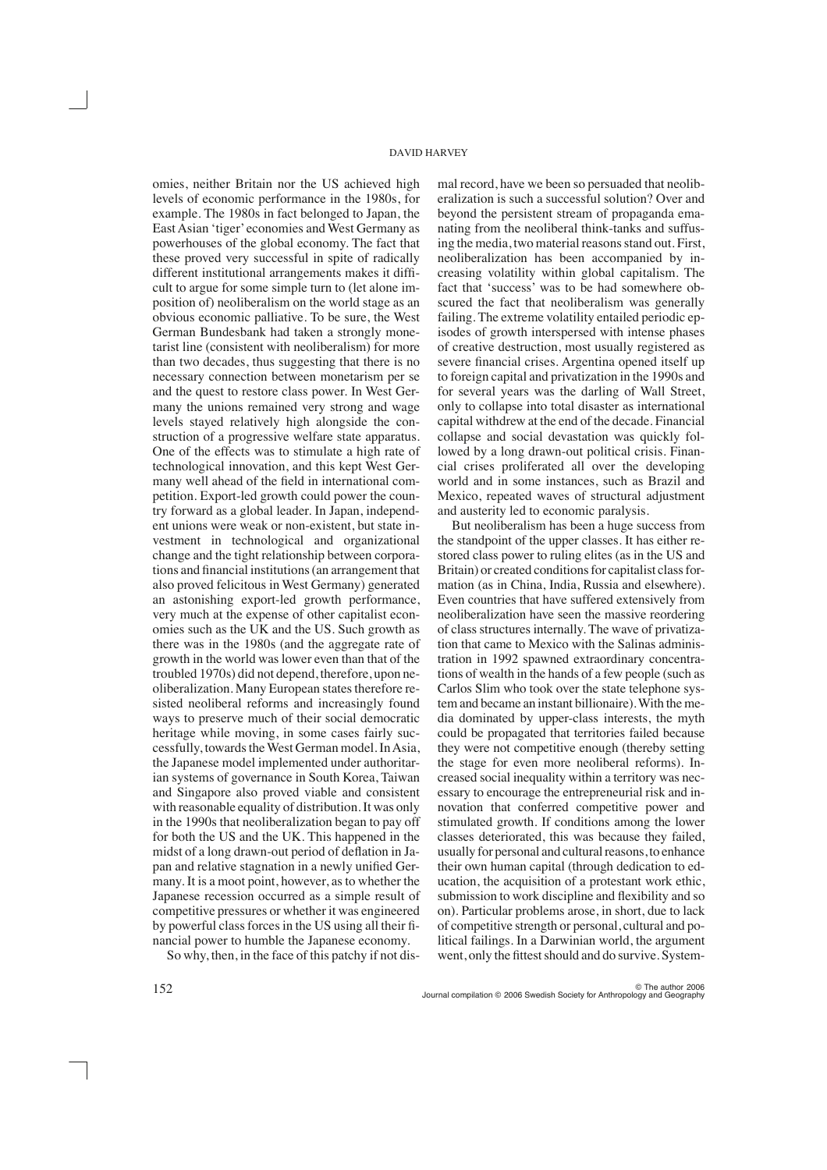omies, neither Britain nor the US achieved high levels of economic performance in the 1980s, for example. The 1980s in fact belonged to Japan, the East Asian 'tiger' economies and West Germany as powerhouses of the global economy. The fact that these proved very successful in spite of radically different institutional arrangements makes it difficult to argue for some simple turn to (let alone imposition of) neoliberalism on the world stage as an obvious economic palliative. To be sure, the West German Bundesbank had taken a strongly monetarist line (consistent with neoliberalism) for more than two decades, thus suggesting that there is no necessary connection between monetarism per se and the quest to restore class power. In West Germany the unions remained very strong and wage levels stayed relatively high alongside the construction of a progressive welfare state apparatus. One of the effects was to stimulate a high rate of technological innovation, and this kept West Germany well ahead of the field in international competition. Export-led growth could power the country forward as a global leader. In Japan, independent unions were weak or non-existent, but state investment in technological and organizational change and the tight relationship between corporations and financial institutions (an arrangement that also proved felicitous in West Germany) generated an astonishing export-led growth performance, very much at the expense of other capitalist economies such as the UK and the US. Such growth as there was in the 1980s (and the aggregate rate of growth in the world was lower even than that of the troubled 1970s) did not depend, therefore, upon neoliberalization. Many European states therefore resisted neoliberal reforms and increasingly found ways to preserve much of their social democratic heritage while moving, in some cases fairly successfully, towards the West German model. In Asia, the Japanese model implemented under authoritarian systems of governance in South Korea, Taiwan and Singapore also proved viable and consistent with reasonable equality of distribution. It was only in the 1990s that neoliberalization began to pay off for both the US and the UK. This happened in the midst of a long drawn-out period of deflation in Japan and relative stagnation in a newly unified Germany. It is a moot point, however, as to whether the Japanese recession occurred as a simple result of competitive pressures or whether it was engineered by powerful class forces in the US using all their financial power to humble the Japanese economy.

So why, then, in the face of this patchy if not dis-

mal record, have we been so persuaded that neoliberalization is such a successful solution? Over and beyond the persistent stream of propaganda emanating from the neoliberal think-tanks and suffusing the media, two material reasons stand out. First, neoliberalization has been accompanied by increasing volatility within global capitalism. The fact that 'success' was to be had somewhere obscured the fact that neoliberalism was generally failing. The extreme volatility entailed periodic episodes of growth interspersed with intense phases of creative destruction, most usually registered as severe financial crises. Argentina opened itself up to foreign capital and privatization in the 1990s and for several years was the darling of Wall Street, only to collapse into total disaster as international capital withdrew at the end of the decade. Financial collapse and social devastation was quickly followed by a long drawn-out political crisis. Financial crises proliferated all over the developing world and in some instances, such as Brazil and Mexico, repeated waves of structural adjustment and austerity led to economic paralysis.

But neoliberalism has been a huge success from the standpoint of the upper classes. It has either restored class power to ruling elites (as in the US and Britain) or created conditions for capitalist class formation (as in China, India, Russia and elsewhere). Even countries that have suffered extensively from neoliberalization have seen the massive reordering of class structures internally. The wave of privatization that came to Mexico with the Salinas administration in 1992 spawned extraordinary concentrations of wealth in the hands of a few people (such as Carlos Slim who took over the state telephone system and became an instant billionaire). With the media dominated by upper-class interests, the myth could be propagated that territories failed because they were not competitive enough (thereby setting the stage for even more neoliberal reforms). Increased social inequality within a territory was necessary to encourage the entrepreneurial risk and innovation that conferred competitive power and stimulated growth. If conditions among the lower classes deteriorated, this was because they failed, usually for personal and cultural reasons, to enhance their own human capital (through dedication to education, the acquisition of a protestant work ethic, submission to work discipline and flexibility and so on). Particular problems arose, in short, due to lack of competitive strength or personal, cultural and political failings. In a Darwinian world, the argument went, only the fittest should and do survive. System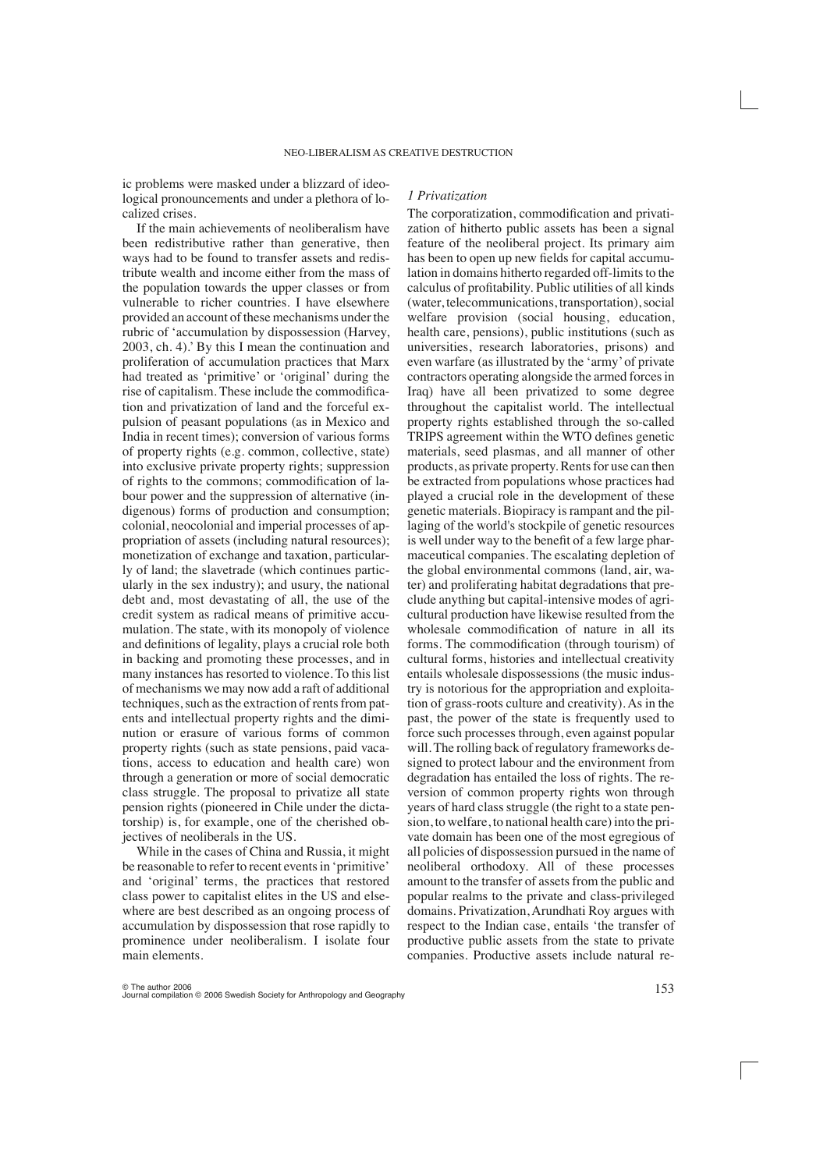ic problems were masked under a blizzard of ideological pronouncements and under a plethora of localized crises.

If the main achievements of neoliberalism have been redistributive rather than generative, then ways had to be found to transfer assets and redistribute wealth and income either from the mass of the population towards the upper classes or from vulnerable to richer countries. I have elsewhere provided an account of these mechanisms under the rubric of 'accumulation by dispossession (Harvey, 2003, ch. 4).' By this I mean the continuation and proliferation of accumulation practices that Marx had treated as 'primitive' or 'original' during the rise of capitalism. These include the commodification and privatization of land and the forceful expulsion of peasant populations (as in Mexico and India in recent times); conversion of various forms of property rights (e.g. common, collective, state) into exclusive private property rights; suppression of rights to the commons; commodification of labour power and the suppression of alternative (indigenous) forms of production and consumption; colonial, neocolonial and imperial processes of appropriation of assets (including natural resources); monetization of exchange and taxation, particularly of land; the slavetrade (which continues particularly in the sex industry); and usury, the national debt and, most devastating of all, the use of the credit system as radical means of primitive accumulation. The state, with its monopoly of violence and definitions of legality, plays a crucial role both in backing and promoting these processes, and in many instances has resorted to violence. To this list of mechanisms we may now add a raft of additional techniques, such as the extraction of rents from patents and intellectual property rights and the diminution or erasure of various forms of common property rights (such as state pensions, paid vacations, access to education and health care) won through a generation or more of social democratic class struggle. The proposal to privatize all state pension rights (pioneered in Chile under the dictatorship) is, for example, one of the cherished objectives of neoliberals in the US.

While in the cases of China and Russia, it might be reasonable to refer to recent events in 'primitive' and 'original' terms, the practices that restored class power to capitalist elites in the US and elsewhere are best described as an ongoing process of accumulation by dispossession that rose rapidly to prominence under neoliberalism. I isolate four main elements.

# *1 Privatization*

The corporatization, commodification and privatization of hitherto public assets has been a signal feature of the neoliberal project. Its primary aim has been to open up new fields for capital accumulation in domains hitherto regarded off-limits to the calculus of profitability. Public utilities of all kinds (water, telecommunications, transportation), social welfare provision (social housing, education, health care, pensions), public institutions (such as universities, research laboratories, prisons) and even warfare (as illustrated by the 'army' of private contractors operating alongside the armed forces in Iraq) have all been privatized to some degree throughout the capitalist world. The intellectual property rights established through the so-called TRIPS agreement within the WTO defines genetic materials, seed plasmas, and all manner of other products, as private property. Rents for use can then be extracted from populations whose practices had played a crucial role in the development of these genetic materials. Biopiracy is rampant and the pillaging of the world's stockpile of genetic resources is well under way to the benefit of a few large pharmaceutical companies. The escalating depletion of the global environmental commons (land, air, water) and proliferating habitat degradations that preclude anything but capital-intensive modes of agricultural production have likewise resulted from the wholesale commodification of nature in all its forms. The commodification (through tourism) of cultural forms, histories and intellectual creativity entails wholesale dispossessions (the music industry is notorious for the appropriation and exploitation of grass-roots culture and creativity). As in the past, the power of the state is frequently used to force such processes through, even against popular will. The rolling back of regulatory frameworks designed to protect labour and the environment from degradation has entailed the loss of rights. The reversion of common property rights won through years of hard class struggle (the right to a state pension, to welfare, to national health care) into the private domain has been one of the most egregious of all policies of dispossession pursued in the name of neoliberal orthodoxy. All of these processes amount to the transfer of assets from the public and popular realms to the private and class-privileged domains. Privatization, Arundhati Roy argues with respect to the Indian case, entails 'the transfer of productive public assets from the state to private companies. Productive assets include natural re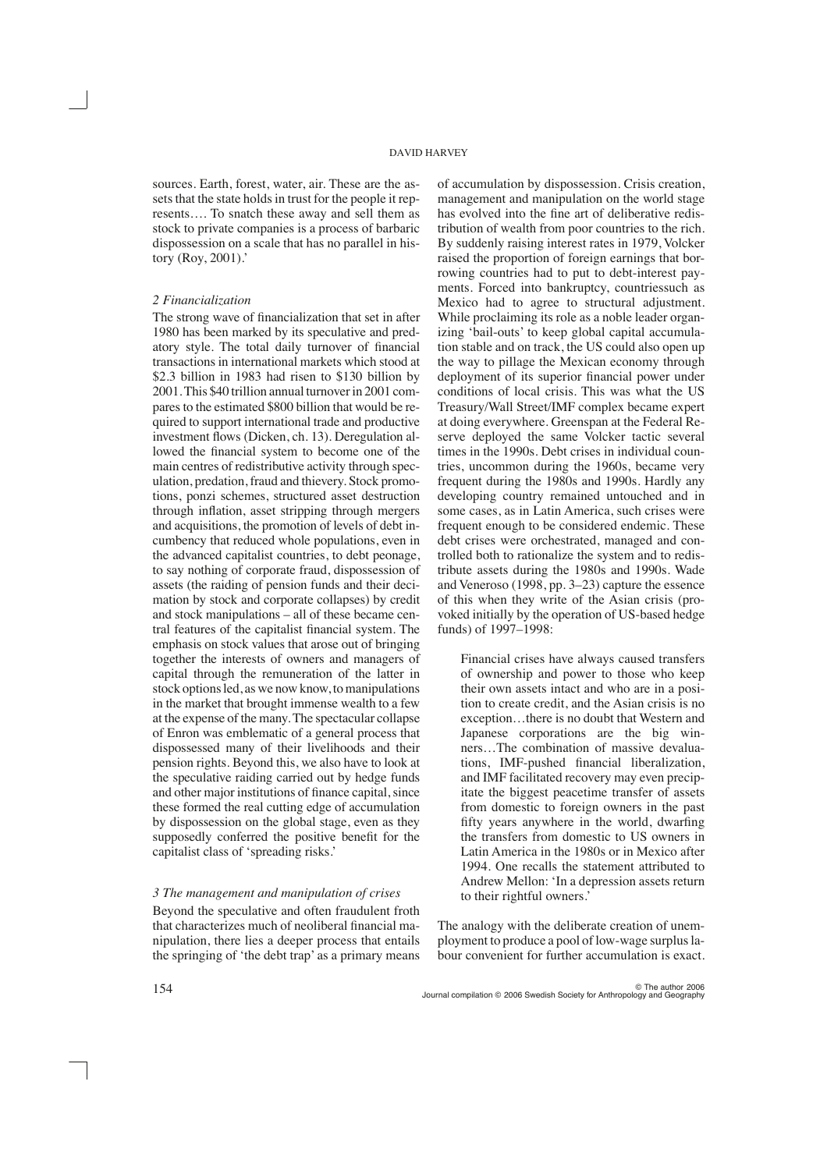sources. Earth, forest, water, air. These are the assets that the state holds in trust for the people it represents…. To snatch these away and sell them as stock to private companies is a process of barbaric dispossession on a scale that has no parallel in history (Roy, 2001).'

## *2 Financialization*

The strong wave of financialization that set in after 1980 has been marked by its speculative and predatory style. The total daily turnover of financial transactions in international markets which stood at \$2.3 billion in 1983 had risen to \$130 billion by 2001. This \$40 trillion annual turnover in 2001 compares to the estimated \$800 billion that would be required to support international trade and productive investment flows (Dicken, ch. 13). Deregulation allowed the financial system to become one of the main centres of redistributive activity through speculation, predation, fraud and thievery. Stock promotions, ponzi schemes, structured asset destruction through inflation, asset stripping through mergers and acquisitions, the promotion of levels of debt incumbency that reduced whole populations, even in the advanced capitalist countries, to debt peonage, to say nothing of corporate fraud, dispossession of assets (the raiding of pension funds and their decimation by stock and corporate collapses) by credit and stock manipulations – all of these became central features of the capitalist financial system. The emphasis on stock values that arose out of bringing together the interests of owners and managers of capital through the remuneration of the latter in stock options led, as we now know, to manipulations in the market that brought immense wealth to a few at the expense of the many. The spectacular collapse of Enron was emblematic of a general process that dispossessed many of their livelihoods and their pension rights. Beyond this, we also have to look at the speculative raiding carried out by hedge funds and other major institutions of finance capital, since these formed the real cutting edge of accumulation by dispossession on the global stage, even as they supposedly conferred the positive benefit for the capitalist class of 'spreading risks.'

# *3 The management and manipulation of crises*

Beyond the speculative and often fraudulent froth that characterizes much of neoliberal financial manipulation, there lies a deeper process that entails the springing of 'the debt trap' as a primary means

of accumulation by dispossession. Crisis creation, management and manipulation on the world stage has evolved into the fine art of deliberative redistribution of wealth from poor countries to the rich. By suddenly raising interest rates in 1979, Volcker raised the proportion of foreign earnings that borrowing countries had to put to debt-interest payments. Forced into bankruptcy, countriessuch as Mexico had to agree to structural adjustment. While proclaiming its role as a noble leader organizing 'bail-outs' to keep global capital accumulation stable and on track, the US could also open up the way to pillage the Mexican economy through deployment of its superior financial power under conditions of local crisis. This was what the US Treasury/Wall Street/IMF complex became expert at doing everywhere. Greenspan at the Federal Reserve deployed the same Volcker tactic several times in the 1990s. Debt crises in individual countries, uncommon during the 1960s, became very frequent during the 1980s and 1990s. Hardly any developing country remained untouched and in some cases, as in Latin America, such crises were frequent enough to be considered endemic. These debt crises were orchestrated, managed and controlled both to rationalize the system and to redistribute assets during the 1980s and 1990s. Wade and Veneroso (1998, pp. 3–23) capture the essence of this when they write of the Asian crisis (provoked initially by the operation of US-based hedge funds) of 1997–1998:

Financial crises have always caused transfers of ownership and power to those who keep their own assets intact and who are in a position to create credit, and the Asian crisis is no exception…there is no doubt that Western and Japanese corporations are the big winners…The combination of massive devaluations, IMF-pushed financial liberalization, and IMF facilitated recovery may even precipitate the biggest peacetime transfer of assets from domestic to foreign owners in the past fifty years anywhere in the world, dwarfing the transfers from domestic to US owners in Latin America in the 1980s or in Mexico after 1994. One recalls the statement attributed to Andrew Mellon: 'In a depression assets return to their rightful owners.'

The analogy with the deliberate creation of unemployment to produce a pool of low-wage surplus labour convenient for further accumulation is exact.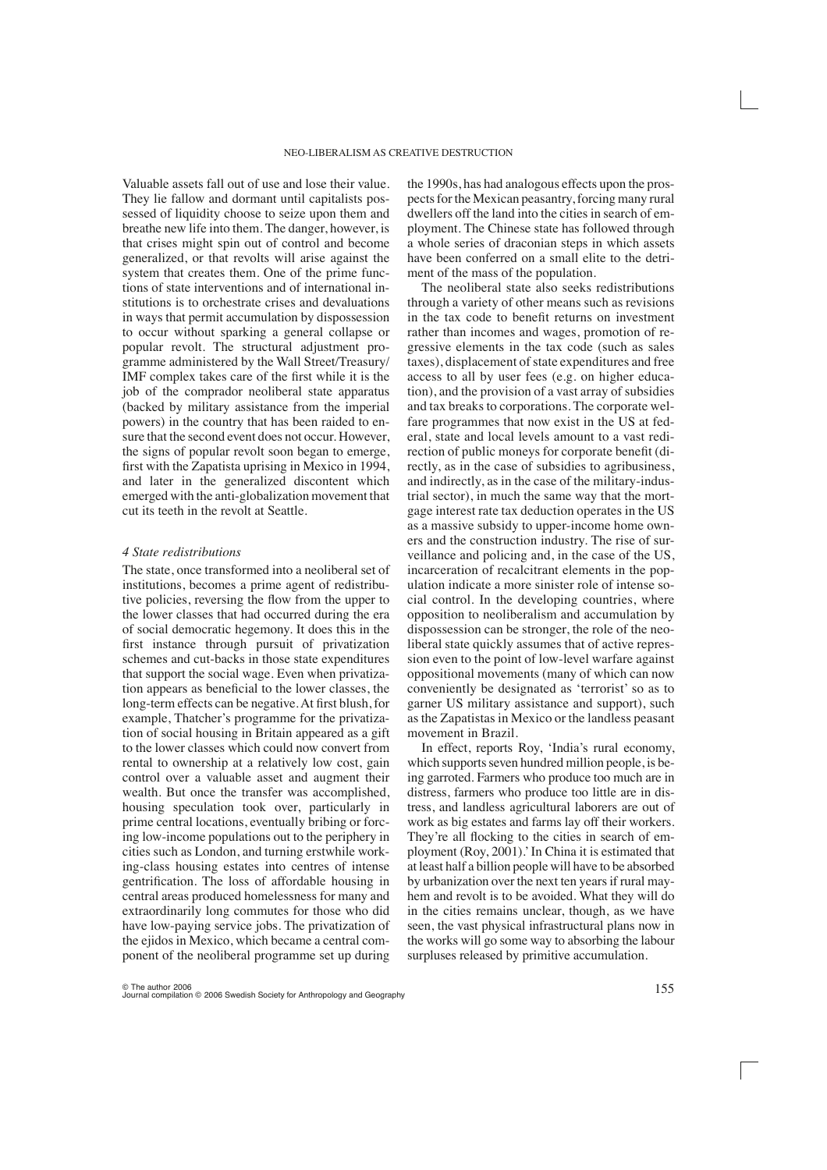Valuable assets fall out of use and lose their value. They lie fallow and dormant until capitalists possessed of liquidity choose to seize upon them and breathe new life into them. The danger, however, is that crises might spin out of control and become generalized, or that revolts will arise against the system that creates them. One of the prime functions of state interventions and of international institutions is to orchestrate crises and devaluations in ways that permit accumulation by dispossession to occur without sparking a general collapse or popular revolt. The structural adjustment programme administered by the Wall Street/Treasury/ IMF complex takes care of the first while it is the job of the comprador neoliberal state apparatus (backed by military assistance from the imperial powers) in the country that has been raided to ensure that the second event does not occur. However, the signs of popular revolt soon began to emerge, first with the Zapatista uprising in Mexico in 1994, and later in the generalized discontent which emerged with the anti-globalization movement that cut its teeth in the revolt at Seattle.

# *4 State redistributions*

The state, once transformed into a neoliberal set of institutions, becomes a prime agent of redistributive policies, reversing the flow from the upper to the lower classes that had occurred during the era of social democratic hegemony. It does this in the first instance through pursuit of privatization schemes and cut-backs in those state expenditures that support the social wage. Even when privatization appears as beneficial to the lower classes, the long-term effects can be negative. At first blush, for example, Thatcher's programme for the privatization of social housing in Britain appeared as a gift to the lower classes which could now convert from rental to ownership at a relatively low cost, gain control over a valuable asset and augment their wealth. But once the transfer was accomplished, housing speculation took over, particularly in prime central locations, eventually bribing or forcing low-income populations out to the periphery in cities such as London, and turning erstwhile working-class housing estates into centres of intense gentrification. The loss of affordable housing in central areas produced homelessness for many and extraordinarily long commutes for those who did have low-paying service jobs. The privatization of the ejidos in Mexico, which became a central component of the neoliberal programme set up during

the 1990s, has had analogous effects upon the prospects for the Mexican peasantry, forcing many rural dwellers off the land into the cities in search of employment. The Chinese state has followed through a whole series of draconian steps in which assets have been conferred on a small elite to the detriment of the mass of the population.

The neoliberal state also seeks redistributions through a variety of other means such as revisions in the tax code to benefit returns on investment rather than incomes and wages, promotion of regressive elements in the tax code (such as sales taxes), displacement of state expenditures and free access to all by user fees (e.g. on higher education), and the provision of a vast array of subsidies and tax breaks to corporations. The corporate welfare programmes that now exist in the US at federal, state and local levels amount to a vast redirection of public moneys for corporate benefit (directly, as in the case of subsidies to agribusiness, and indirectly, as in the case of the military-industrial sector), in much the same way that the mortgage interest rate tax deduction operates in the US as a massive subsidy to upper-income home owners and the construction industry. The rise of surveillance and policing and, in the case of the US, incarceration of recalcitrant elements in the population indicate a more sinister role of intense social control. In the developing countries, where opposition to neoliberalism and accumulation by dispossession can be stronger, the role of the neoliberal state quickly assumes that of active repression even to the point of low-level warfare against oppositional movements (many of which can now conveniently be designated as 'terrorist' so as to garner US military assistance and support), such as the Zapatistas in Mexico or the landless peasant movement in Brazil.

In effect, reports Roy, 'India's rural economy, which supports seven hundred million people, is being garroted. Farmers who produce too much are in distress, farmers who produce too little are in distress, and landless agricultural laborers are out of work as big estates and farms lay off their workers. They're all flocking to the cities in search of employment (Roy, 2001).' In China it is estimated that at least half a billion people will have to be absorbed by urbanization over the next ten years if rural mayhem and revolt is to be avoided. What they will do in the cities remains unclear, though, as we have seen, the vast physical infrastructural plans now in the works will go some way to absorbing the labour surpluses released by primitive accumulation.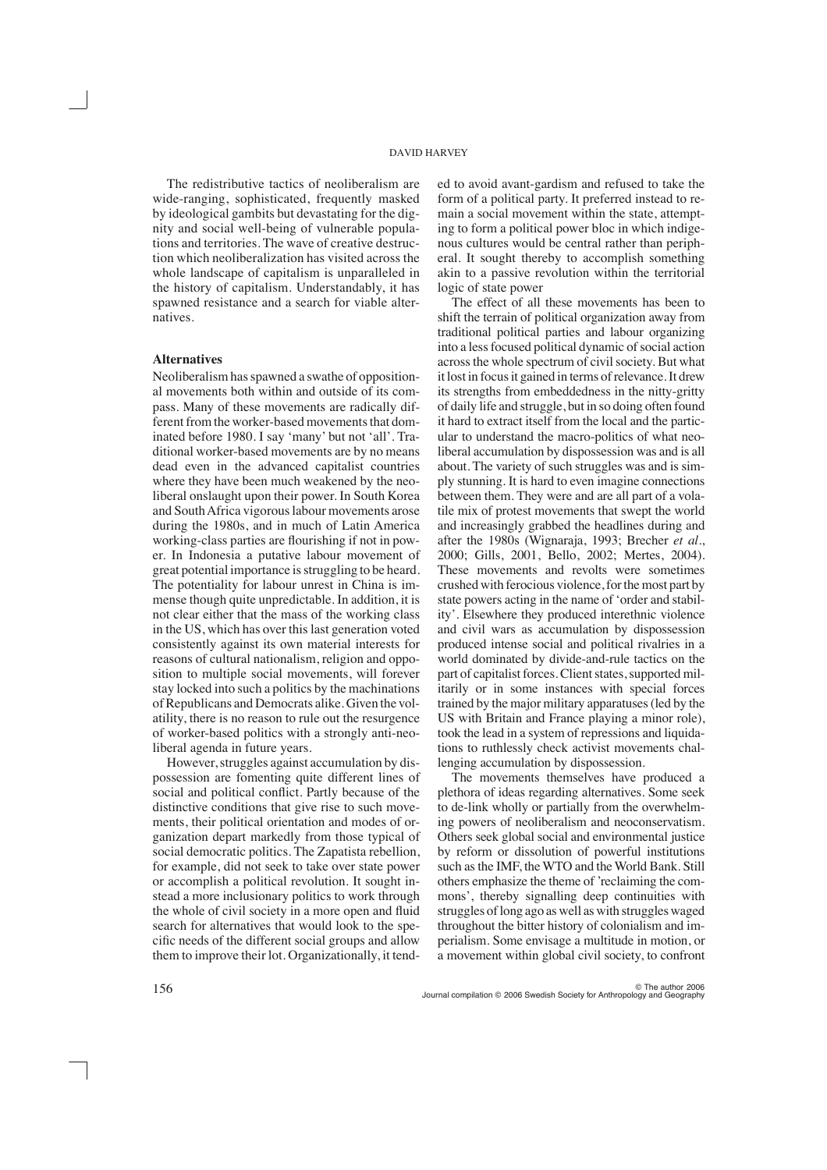The redistributive tactics of neoliberalism are wide-ranging, sophisticated, frequently masked by ideological gambits but devastating for the dignity and social well-being of vulnerable populations and territories. The wave of creative destruction which neoliberalization has visited across the whole landscape of capitalism is unparalleled in the history of capitalism. Understandably, it has spawned resistance and a search for viable alternatives.

# **Alternatives**

Neoliberalism has spawned a swathe of oppositional movements both within and outside of its compass. Many of these movements are radically different from the worker-based movements that dominated before 1980. I say 'many' but not 'all'. Traditional worker-based movements are by no means dead even in the advanced capitalist countries where they have been much weakened by the neoliberal onslaught upon their power. In South Korea and South Africa vigorous labour movements arose during the 1980s, and in much of Latin America working-class parties are flourishing if not in power. In Indonesia a putative labour movement of great potential importance is struggling to be heard. The potentiality for labour unrest in China is immense though quite unpredictable. In addition, it is not clear either that the mass of the working class in the US, which has over this last generation voted consistently against its own material interests for reasons of cultural nationalism, religion and opposition to multiple social movements, will forever stay locked into such a politics by the machinations of Republicans and Democrats alike. Given the volatility, there is no reason to rule out the resurgence of worker-based politics with a strongly anti-neoliberal agenda in future years.

However, struggles against accumulation by dispossession are fomenting quite different lines of social and political conflict. Partly because of the distinctive conditions that give rise to such movements, their political orientation and modes of organization depart markedly from those typical of social democratic politics. The Zapatista rebellion, for example, did not seek to take over state power or accomplish a political revolution. It sought instead a more inclusionary politics to work through the whole of civil society in a more open and fluid search for alternatives that would look to the specific needs of the different social groups and allow them to improve their lot. Organizationally, it tended to avoid avant-gardism and refused to take the form of a political party. It preferred instead to remain a social movement within the state, attempting to form a political power bloc in which indigenous cultures would be central rather than peripheral. It sought thereby to accomplish something akin to a passive revolution within the territorial logic of state power

The effect of all these movements has been to shift the terrain of political organization away from traditional political parties and labour organizing into a less focused political dynamic of social action across the whole spectrum of civil society. But what it lost in focus it gained in terms of relevance. It drew its strengths from embeddedness in the nitty-gritty of daily life and struggle, but in so doing often found it hard to extract itself from the local and the particular to understand the macro-politics of what neoliberal accumulation by dispossession was and is all about. The variety of such struggles was and is simply stunning. It is hard to even imagine connections between them. They were and are all part of a volatile mix of protest movements that swept the world and increasingly grabbed the headlines during and after the 1980s (Wignaraja, 1993; Brecher *et al*., 2000; Gills, 2001, Bello, 2002; Mertes, 2004). These movements and revolts were sometimes crushed with ferocious violence, for the most part by state powers acting in the name of 'order and stability'. Elsewhere they produced interethnic violence and civil wars as accumulation by dispossession produced intense social and political rivalries in a world dominated by divide-and-rule tactics on the part of capitalist forces. Client states, supported militarily or in some instances with special forces trained by the major military apparatuses (led by the US with Britain and France playing a minor role), took the lead in a system of repressions and liquidations to ruthlessly check activist movements challenging accumulation by dispossession.

The movements themselves have produced a plethora of ideas regarding alternatives. Some seek to de-link wholly or partially from the overwhelming powers of neoliberalism and neoconservatism. Others seek global social and environmental justice by reform or dissolution of powerful institutions such as the IMF, the WTO and the World Bank. Still others emphasize the theme of 'reclaiming the commons', thereby signalling deep continuities with struggles of long ago as well as with struggles waged throughout the bitter history of colonialism and imperialism. Some envisage a multitude in motion, or a movement within global civil society, to confront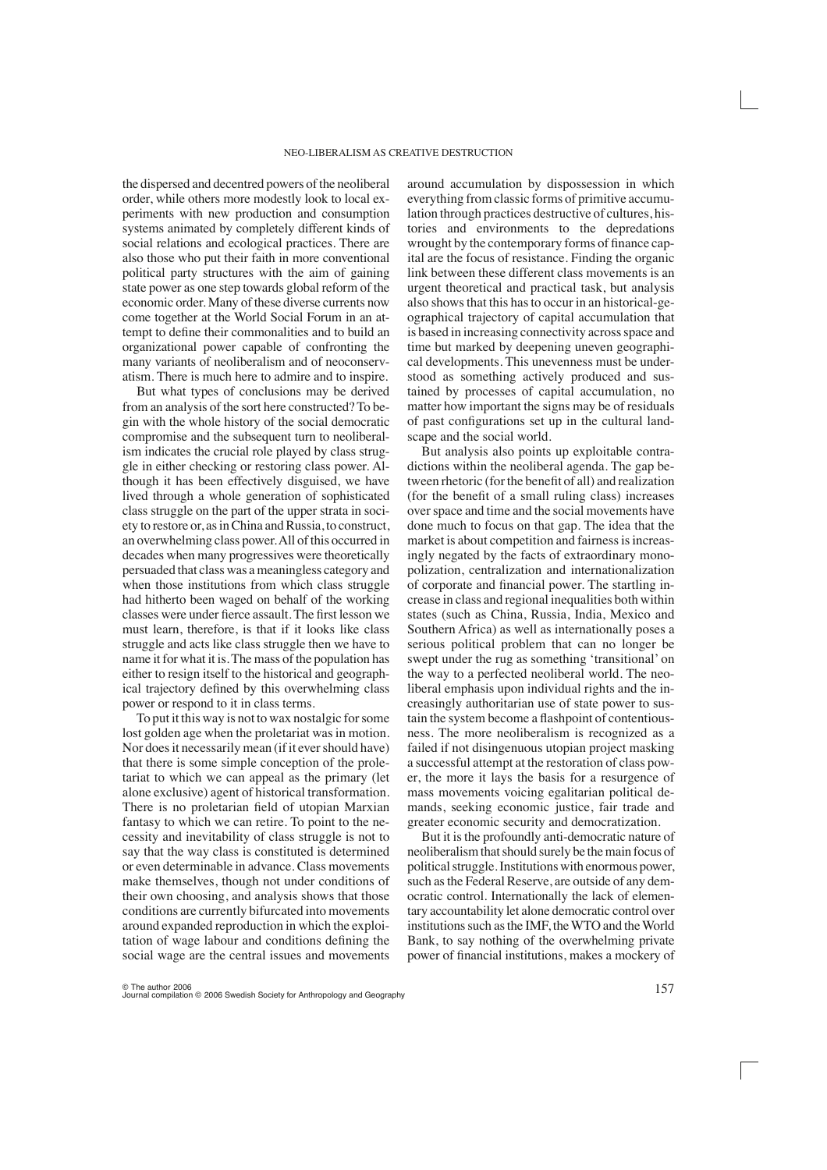the dispersed and decentred powers of the neoliberal order, while others more modestly look to local experiments with new production and consumption systems animated by completely different kinds of social relations and ecological practices. There are also those who put their faith in more conventional political party structures with the aim of gaining state power as one step towards global reform of the economic order. Many of these diverse currents now come together at the World Social Forum in an attempt to define their commonalities and to build an organizational power capable of confronting the many variants of neoliberalism and of neoconservatism. There is much here to admire and to inspire.

But what types of conclusions may be derived from an analysis of the sort here constructed? To begin with the whole history of the social democratic compromise and the subsequent turn to neoliberalism indicates the crucial role played by class struggle in either checking or restoring class power. Although it has been effectively disguised, we have lived through a whole generation of sophisticated class struggle on the part of the upper strata in society to restore or, as in China and Russia, to construct, an overwhelming class power. All of this occurred in decades when many progressives were theoretically persuaded that class was a meaningless category and when those institutions from which class struggle had hitherto been waged on behalf of the working classes were under fierce assault. The first lesson we must learn, therefore, is that if it looks like class struggle and acts like class struggle then we have to name it for what it is. The mass of the population has either to resign itself to the historical and geographical trajectory defined by this overwhelming class power or respond to it in class terms.

To put it this way is not to wax nostalgic for some lost golden age when the proletariat was in motion. Nor does it necessarily mean (if it ever should have) that there is some simple conception of the proletariat to which we can appeal as the primary (let alone exclusive) agent of historical transformation. There is no proletarian field of utopian Marxian fantasy to which we can retire. To point to the necessity and inevitability of class struggle is not to say that the way class is constituted is determined or even determinable in advance. Class movements make themselves, though not under conditions of their own choosing, and analysis shows that those conditions are currently bifurcated into movements around expanded reproduction in which the exploitation of wage labour and conditions defining the social wage are the central issues and movements

around accumulation by dispossession in which everything from classic forms of primitive accumulation through practices destructive of cultures, histories and environments to the depredations wrought by the contemporary forms of finance capital are the focus of resistance. Finding the organic link between these different class movements is an urgent theoretical and practical task, but analysis also shows that this has to occur in an historical-geographical trajectory of capital accumulation that is based in increasing connectivity across space and time but marked by deepening uneven geographical developments. This unevenness must be understood as something actively produced and sustained by processes of capital accumulation, no matter how important the signs may be of residuals of past configurations set up in the cultural landscape and the social world.

But analysis also points up exploitable contradictions within the neoliberal agenda. The gap between rhetoric (for the benefit of all) and realization (for the benefit of a small ruling class) increases over space and time and the social movements have done much to focus on that gap. The idea that the market is about competition and fairness is increasingly negated by the facts of extraordinary monopolization, centralization and internationalization of corporate and financial power. The startling increase in class and regional inequalities both within states (such as China, Russia, India, Mexico and Southern Africa) as well as internationally poses a serious political problem that can no longer be swept under the rug as something 'transitional' on the way to a perfected neoliberal world. The neoliberal emphasis upon individual rights and the increasingly authoritarian use of state power to sustain the system become a flashpoint of contentiousness. The more neoliberalism is recognized as a failed if not disingenuous utopian project masking a successful attempt at the restoration of class power, the more it lays the basis for a resurgence of mass movements voicing egalitarian political demands, seeking economic justice, fair trade and greater economic security and democratization.

But it is the profoundly anti-democratic nature of neoliberalism that should surely be the main focus of political struggle. Institutions with enormous power, such as the Federal Reserve, are outside of any democratic control. Internationally the lack of elementary accountability let alone democratic control over institutions such as the IMF, the WTO and the World Bank, to say nothing of the overwhelming private power of financial institutions, makes a mockery of